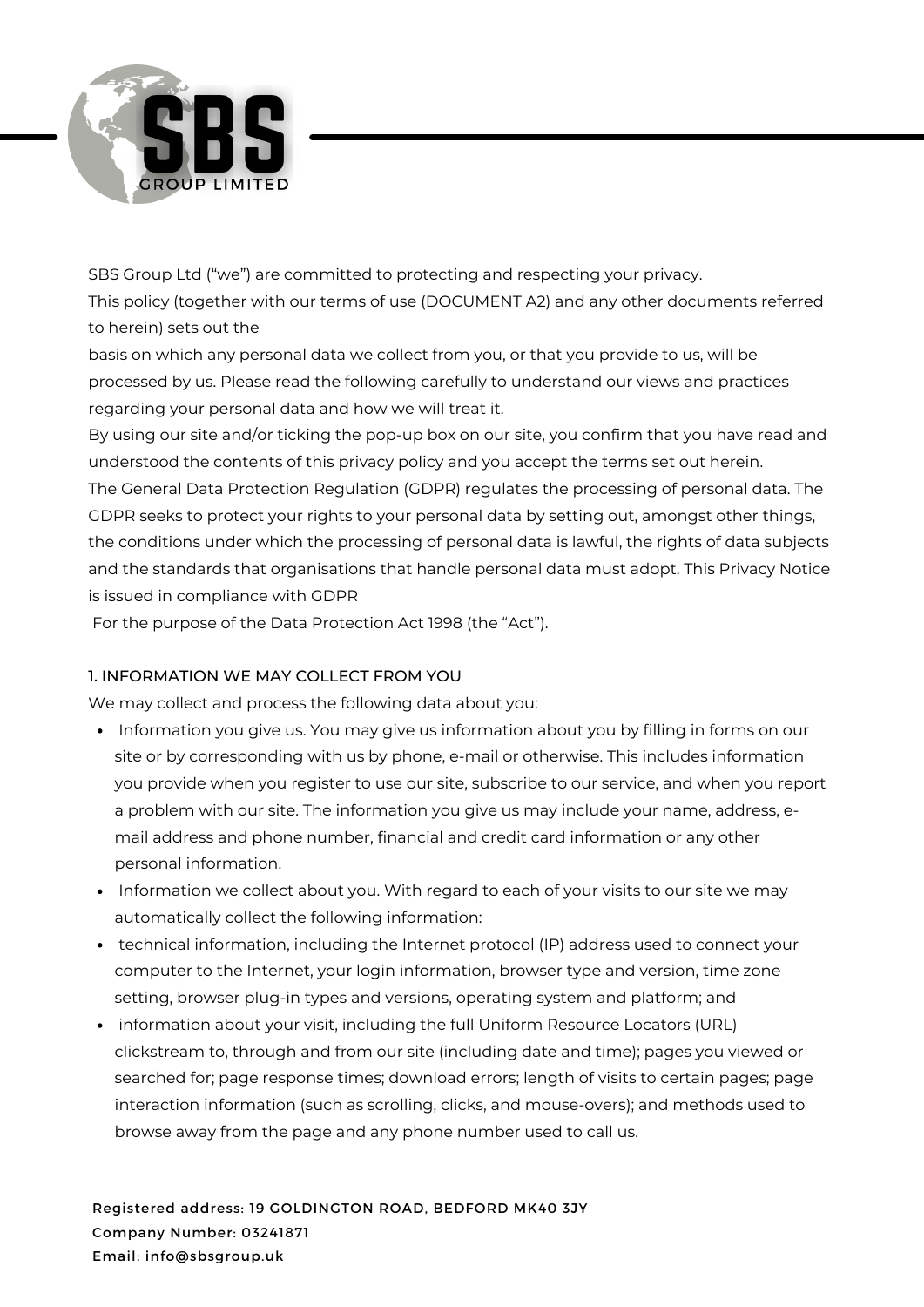

SBS Group Ltd ("we") are committed to protecting and respecting your privacy. This policy (together with our terms of use (DOCUMENT A2) and any other documents referred to herein) sets out the

basis on which any personal data we collect from you, or that you provide to us, will be processed by us. Please read the following carefully to understand our views and practices regarding your personal data and how we will treat it.

By using our site and/or ticking the pop-up box on our site, you confirm that you have read and understood the contents of this privacy policy and you accept the terms set out herein. The General Data Protection Regulation (GDPR) regulates the processing of personal data. The GDPR seeks to protect your rights to your personal data by setting out, amongst other things,

the conditions under which the processing of personal data is lawful, the rights of data subjects and the standards that organisations that handle personal data must adopt. This Privacy Notice is issued in compliance with GDPR

For the purpose of the Data Protection Act 1998 (the "Act").

# 1. INFORMATION WE MAY COLLECT FROM YOU

We may collect and process the following data about you:

- Information you give us. You may give us information about you by filling in forms on our site or by corresponding with us by phone, e-mail or otherwise. This includes information you provide when you register to use our site, subscribe to our service, and when you report a problem with our site. The information you give us may include your name, address, email address and phone number, financial and credit card information or any other personal information.
- Information we collect about you. With regard to each of your visits to our site we may automatically collect the following information:
- technical information, including the Internet protocol (IP) address used to connect your computer to the Internet, your login information, browser type and version, time zone setting, browser plug-in types and versions, operating system and platform; and
- information about your visit, including the full Uniform Resource Locators (URL) clickstream to, through and from our site (including date and time); pages you viewed or searched for; page response times; download errors; length of visits to certain pages; page interaction information (such as scrolling, clicks, and mouse-overs); and methods used to browse away from the page and any phone number used to call us.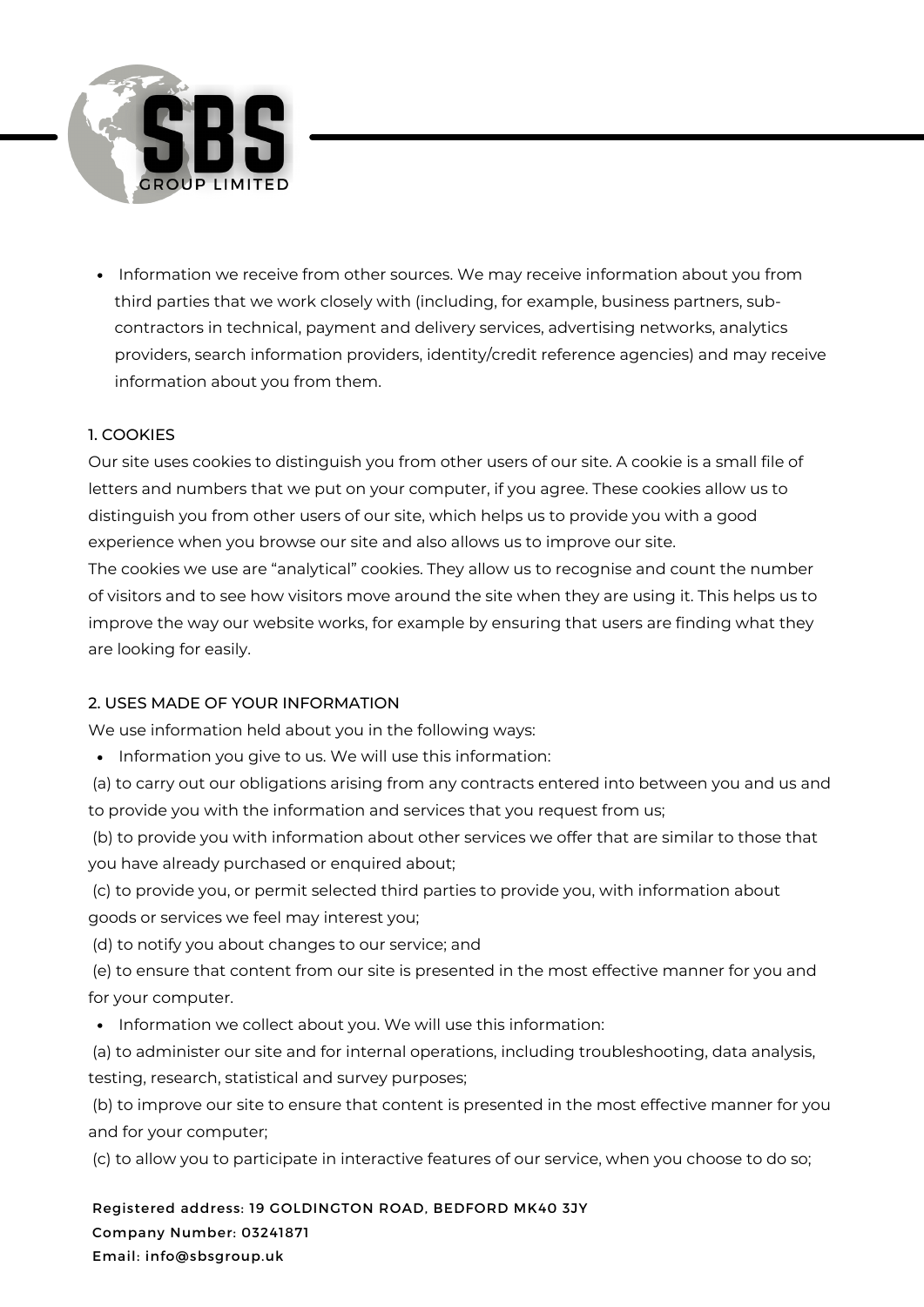

• Information we receive from other sources. We may receive information about you from third parties that we work closely with (including, for example, business partners, subcontractors in technical, payment and delivery services, advertising networks, analytics providers, search information providers, identity/credit reference agencies) and may receive information about you from them.

### 1. COOKIES

Our site uses cookies to distinguish you from other users of our site. A cookie is a small file of letters and numbers that we put on your computer, if you agree. These cookies allow us to distinguish you from other users of our site, which helps us to provide you with a good experience when you browse our site and also allows us to improve our site.

The cookies we use are "analytical" cookies. They allow us to recognise and count the number of visitors and to see how visitors move around the site when they are using it. This helps us to improve the way our website works, for example by ensuring that users are finding what they are looking for easily.

# 2. USES MADE OF YOUR INFORMATION

We use information held about you in the following ways:

• Information you give to us. We will use this information:

(a) to carry out our obligations arising from any contracts entered into between you and us and to provide you with the information and services that you request from us;

(b) to provide you with information about other services we offer that are similar to those that you have already purchased or enquired about;

(c) to provide you, or permit selected third parties to provide you, with information about goods or services we feel may interest you;

(d) to notify you about changes to our service; and

(e) to ensure that content from our site is presented in the most effective manner for you and for your computer.

• Information we collect about you. We will use this information:

(a) to administer our site and for internal operations, including troubleshooting, data analysis, testing, research, statistical and survey purposes;

(b) to improve our site to ensure that content is presented in the most effective manner for you and for your computer;

(c) to allow you to participate in interactive features of our service, when you choose to do so;

Registered address: 19 GOLDINGTON ROAD, BEDFORD MK40 3JY Company Number: 03241871 Email: info@sbsgroup.uk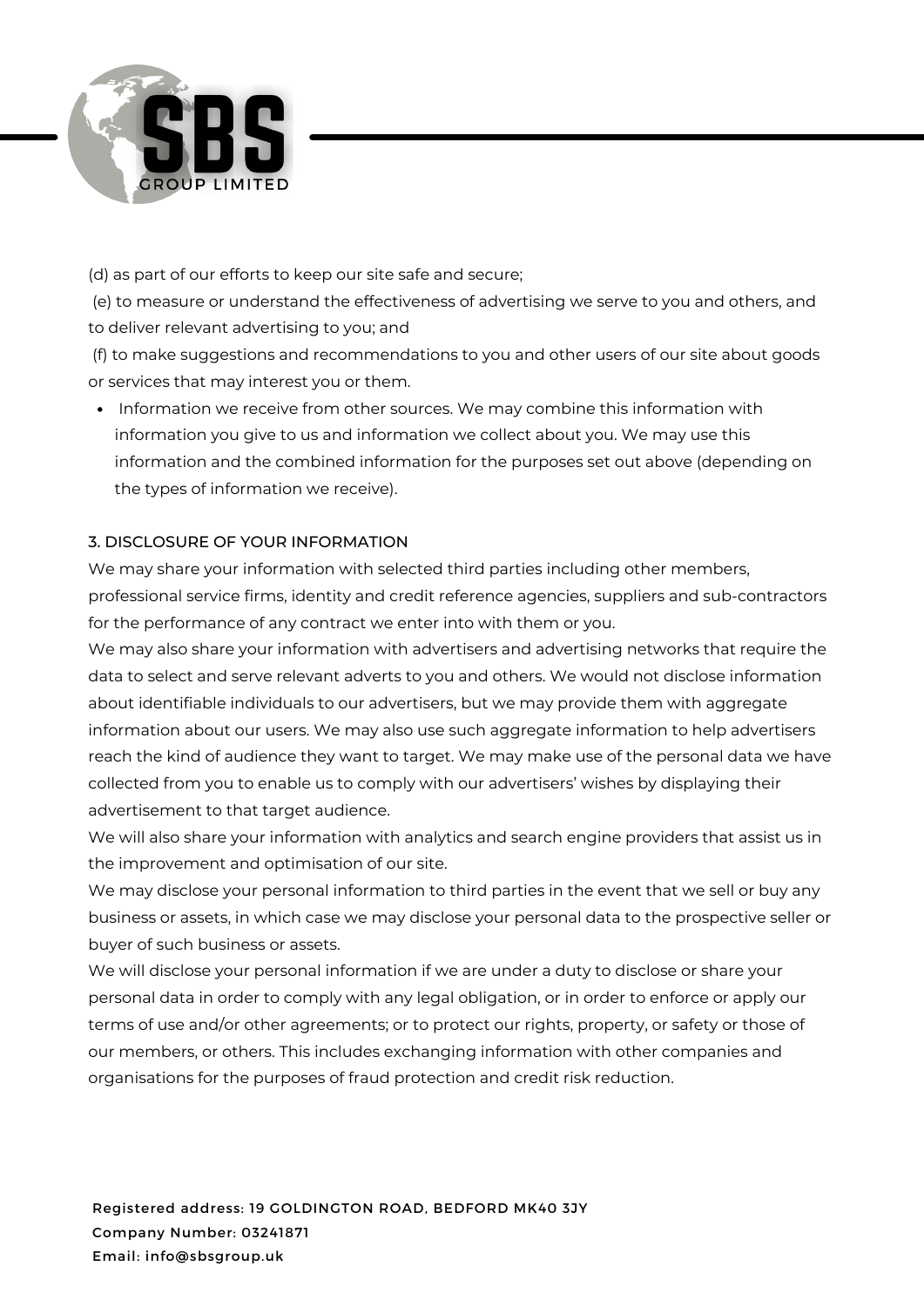

(d) as part of our efforts to keep our site safe and secure;

(e) to measure or understand the effectiveness of advertising we serve to you and others, and to deliver relevant advertising to you; and

(f) to make suggestions and recommendations to you and other users of our site about goods or services that may interest you or them.

• Information we receive from other sources. We may combine this information with information you give to us and information we collect about you. We may use this information and the combined information for the purposes set out above (depending on the types of information we receive).

# 3. DISCLOSURE OF YOUR INFORMATION

We may share your information with selected third parties including other members, professional service firms, identity and credit reference agencies, suppliers and sub-contractors for the performance of any contract we enter into with them or you.

We may also share your information with advertisers and advertising networks that require the data to select and serve relevant adverts to you and others. We would not disclose information about identifiable individuals to our advertisers, but we may provide them with aggregate information about our users. We may also use such aggregate information to help advertisers reach the kind of audience they want to target. We may make use of the personal data we have collected from you to enable us to comply with our advertisers' wishes by displaying their advertisement to that target audience.

We will also share your information with analytics and search engine providers that assist us in the improvement and optimisation of our site.

We may disclose your personal information to third parties in the event that we sell or buy any business or assets, in which case we may disclose your personal data to the prospective seller or buyer of such business or assets.

We will disclose your personal information if we are under a duty to disclose or share your personal data in order to comply with any legal obligation, or in order to enforce or apply our terms of use and/or other agreements; or to protect our rights, property, or safety or those of our members, or others. This includes exchanging information with other companies and organisations for the purposes of fraud protection and credit risk reduction.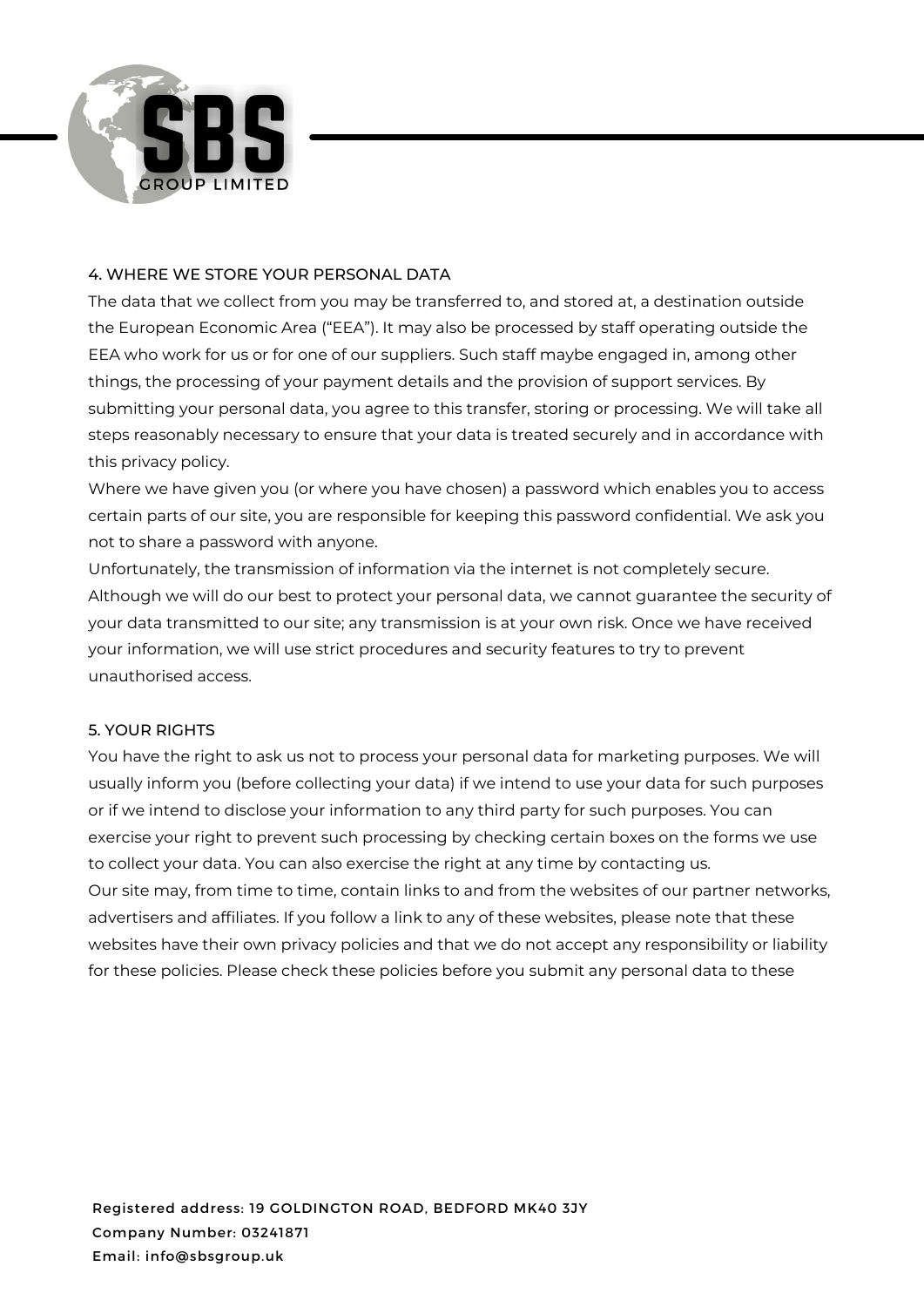

#### 4. WHERE WE STORE YOUR PERSONAL DATA

The data that we collect from you may be transferred to, and stored at, a destination outside the European Economic Area ("EEA"). It may also be processed by staff operating outside the EEA who work for us or for one of our suppliers. Such staff maybe engaged in, among other things, the processing of your payment details and the provision of support services. By submitting your personal data, you agree to this transfer, storing or processing. We will take all steps reasonably necessary to ensure that your data is treated securely and in accordance with this privacy policy.

Where we have given you (or where you have chosen) a password which enables you to access certain parts of our site, you are responsible for keeping this password confidential. We ask you not to share a password with anyone.

Unfortunately, the transmission of information via the internet is not completely secure. Although we will do our best to protect your personal data, we cannot guarantee the security of your data transmitted to our site; any transmission is at your own risk. Once we have received your information, we will use strict procedures and security features to try to prevent unauthorised access.

#### 5. YOUR RIGHTS

You have the right to ask us not to process your personal data for marketing purposes. We will usually inform you (before collecting your data) if we intend to use your data for such purposes or if we intend to disclose your information to any third party for such purposes. You can exercise your right to prevent such processing by checking certain boxes on the forms we use to collect your data. You can also exercise the right at any time by contacting us. Our site may, from time to time, contain links to and from the websites of our partner networks, advertisers and affiliates. If you follow a link to any of these websites, please note that these websites have their own privacy policies and that we do not accept any responsibility or liability for these policies. Please check these policies before you submit any personal data to these

Registered address: 19 GOLDINGTON ROAD, BEDFORD MK40 3JY Company Number: 03241871 Email: info@sbsgroup.uk